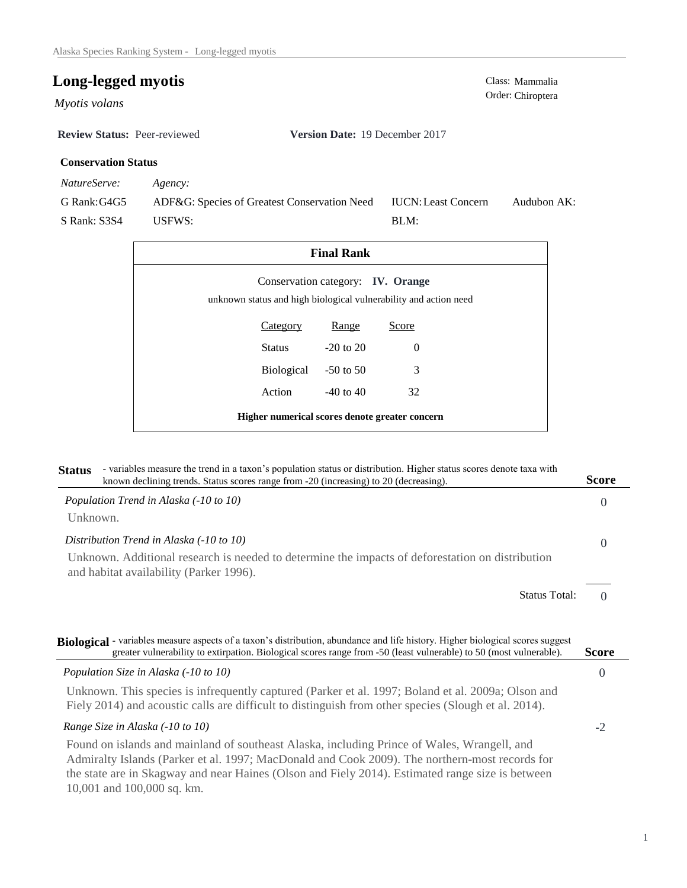# **Long-legged myotis** Class: Mammalia Class: Mammalia

Myotis volans

**Review Status:** Peer-reviewed **Version Date:** 19 December 2017

# **Conservation Status**

*NatureServe: Agency:*

G Rank:G4G5 S Rank: S3S4 ADF&G: Species of Greatest Conservation Need USFWS: Audubon AK: BLM: IUCN:Least Concern

| <b>Final Rank</b>                                                                                     |                      |               |          |  |  |
|-------------------------------------------------------------------------------------------------------|----------------------|---------------|----------|--|--|
| Conservation category: IV. Orange<br>unknown status and high biological vulnerability and action need |                      |               |          |  |  |
|                                                                                                       | Category             | Range         | Score    |  |  |
|                                                                                                       | Status               | $-20$ to $20$ | $\Omega$ |  |  |
|                                                                                                       | Biological -50 to 50 |               | 3        |  |  |
|                                                                                                       | Action               | $-40$ to $40$ | 32       |  |  |
| Higher numerical scores denote greater concern                                                        |                      |               |          |  |  |

| <b>Status</b> | - variables measure the trend in a taxon's population status or distribution. Higher status scores denote taxa with<br>known declining trends. Status scores range from -20 (increasing) to 20 (decreasing).                                         | <b>Score</b>   |
|---------------|------------------------------------------------------------------------------------------------------------------------------------------------------------------------------------------------------------------------------------------------------|----------------|
|               | Population Trend in Alaska (-10 to 10)                                                                                                                                                                                                               | $\Omega$       |
| Unknown.      |                                                                                                                                                                                                                                                      |                |
|               | Distribution Trend in Alaska (-10 to 10)                                                                                                                                                                                                             | $\overline{0}$ |
|               | Unknown. Additional research is needed to determine the impacts of deforestation on distribution<br>and habitat availability (Parker 1996).                                                                                                          |                |
|               | <b>Status Total:</b>                                                                                                                                                                                                                                 | $\Omega$       |
|               |                                                                                                                                                                                                                                                      |                |
|               | Biological - variables measure aspects of a taxon's distribution, abundance and life history. Higher biological scores suggest<br>greater vulnerability to extirpation. Biological scores range from -50 (least vulnerable) to 50 (most vulnerable). | Score          |
|               | Population Size in Alaska (-10 to 10)                                                                                                                                                                                                                | $\theta$       |
|               | Unknown. This species is infrequently captured (Parker et al. 1997; Boland et al. 2009a; Olson and<br>Fiely 2014) and acoustic calls are difficult to distinguish from other species (Slough et al. 2014).                                           |                |
|               | Range Size in Alaska (-10 to 10)                                                                                                                                                                                                                     | $-2$           |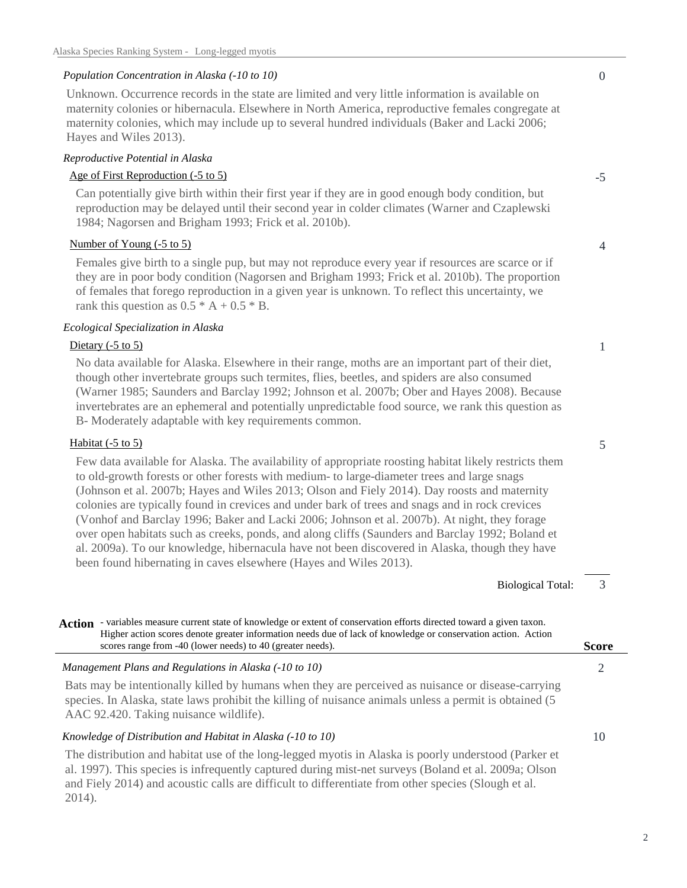## *Population Concentration in Alaska (-10 to 10)*

Unknown. Occurrence records in the state are limited and very little information is available on maternity colonies or hibernacula. Elsewhere in North America, reproductive females congregate at maternity colonies, which may include up to several hundred individuals (Baker and Lacki 2006; Hayes and Wiles 2013).

## *Reproductive Potential in Alaska*

## Age of First Reproduction (-5 to 5)

Can potentially give birth within their first year if they are in good enough body condition, but reproduction may be delayed until their second year in colder climates (Warner and Czaplewski 1984; Nagorsen and Brigham 1993; Frick et al. 2010b).

## Number of Young (-5 to 5)

Females give birth to a single pup, but may not reproduce every year if resources are scarce or if they are in poor body condition (Nagorsen and Brigham 1993; Frick et al. 2010b). The proportion of females that forego reproduction in a given year is unknown. To reflect this uncertainty, we rank this question as  $0.5 * A + 0.5 * B$ .

#### *Ecological Specialization in Alaska*

#### Dietary (-5 to 5)

No data available for Alaska. Elsewhere in their range, moths are an important part of their diet, though other invertebrate groups such termites, flies, beetles, and spiders are also consumed (Warner 1985; Saunders and Barclay 1992; Johnson et al. 2007b; Ober and Hayes 2008). Because invertebrates are an ephemeral and potentially unpredictable food source, we rank this question as B- Moderately adaptable with key requirements common.

#### Habitat (-5 to 5)

Few data available for Alaska. The availability of appropriate roosting habitat likely restricts them to old-growth forests or other forests with medium- to large-diameter trees and large snags (Johnson et al. 2007b; Hayes and Wiles 2013; Olson and Fiely 2014). Day roosts and maternity colonies are typically found in crevices and under bark of trees and snags and in rock crevices (Vonhof and Barclay 1996; Baker and Lacki 2006; Johnson et al. 2007b). At night, they forage over open habitats such as creeks, ponds, and along cliffs (Saunders and Barclay 1992; Boland et al. 2009a). To our knowledge, hibernacula have not been discovered in Alaska, though they have been found hibernating in caves elsewhere (Hayes and Wiles 2013).

Biological Total:

Action - variables measure current state of knowledge or extent of conservation efforts directed toward a given taxon. Higher action scores denote greater information needs due of lack of knowledge or conservation action. Action scores range from -40 (lower needs) to 40 (greater needs).

*Management Plans and Regulations in Alaska (-10 to 10)* Bats may be intentionally killed by humans when they are perceived as nuisance or disease-carrying species. In Alaska, state laws prohibit the killing of nuisance animals unless a permit is obtained (5 AAC 92.420. Taking nuisance wildlife).

#### *Knowledge of Distribution and Habitat in Alaska (-10 to 10)*

The distribution and habitat use of the long-legged myotis in Alaska is poorly understood (Parker et al. 1997). This species is infrequently captured during mist-net surveys (Boland et al. 2009a; Olson and Fiely 2014) and acoustic calls are difficult to differentiate from other species (Slough et al. 2014).

#### 0

4

-5

1

5

3

2

**Score**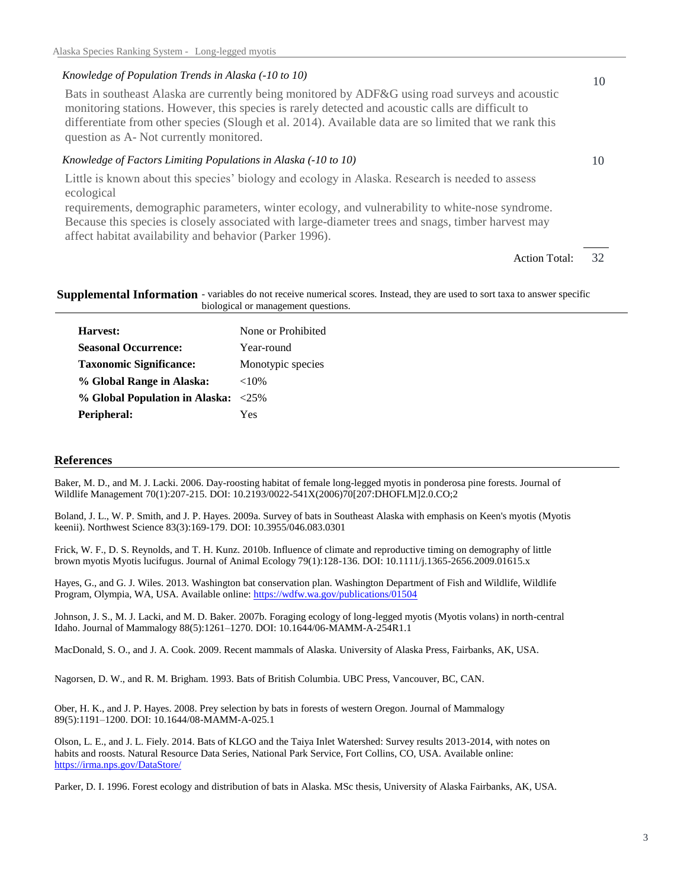#### *Knowledge of Population Trends in Alaska (-10 to 10)*

Bats in southeast Alaska are currently being monitored by ADF&G using road surveys and acoustic monitoring stations. However, this species is rarely detected and acoustic calls are difficult to differentiate from other species (Slough et al. 2014). Available data are so limited that we rank this question as A- Not currently monitored.

## *Knowledge of Factors Limiting Populations in Alaska (-10 to 10)*

Little is known about this species' biology and ecology in Alaska. Research is needed to assess ecological

requirements, demographic parameters, winter ecology, and vulnerability to white-nose syndrome. Because this species is closely associated with large-diameter trees and snags, timber harvest may affect habitat availability and behavior (Parker 1996).

#### Supplemental Information - variables do not receive numerical scores. Instead, they are used to sort taxa to answer specific biological or management questions.

| Harvest:                            | None or Prohibited |
|-------------------------------------|--------------------|
| <b>Seasonal Occurrence:</b>         | Year-round         |
| <b>Taxonomic Significance:</b>      | Monotypic species  |
| % Global Range in Alaska:           | ${<}10\%$          |
| % Global Population in Alaska: <25% |                    |
| Peripheral:                         | Yes                |

#### **References**

Baker, M. D., and M. J. Lacki. 2006. Day-roosting habitat of female long-legged myotis in ponderosa pine forests. Journal of Wildlife Management 70(1):207-215. DOI: 10.2193/0022-541X(2006)70[207:DHOFLM]2.0.CO;2

Boland, J. L., W. P. Smith, and J. P. Hayes. 2009a. Survey of bats in Southeast Alaska with emphasis on Keen's myotis (Myotis keenii). Northwest Science 83(3):169-179. DOI: 10.3955/046.083.0301

Frick, W. F., D. S. Reynolds, and T. H. Kunz. 2010b. Influence of climate and reproductive timing on demography of little brown myotis Myotis lucifugus. Journal of Animal Ecology 79(1):128-136. DOI: 10.1111/j.1365-2656.2009.01615.x

Hayes, G., and G. J. Wiles. 2013. Washington bat conservation plan. Washington Department of Fish and Wildlife, Wildlife Program, Olympia, WA, USA. Available online: https://wdfw.wa.gov/publications/01504

Johnson, J. S., M. J. Lacki, and M. D. Baker. 2007b. Foraging ecology of long-legged myotis (Myotis volans) in north-central Idaho. Journal of Mammalogy 88(5):1261–1270. DOI: 10.1644/06-MAMM-A-254R1.1

MacDonald, S. O., and J. A. Cook. 2009. Recent mammals of Alaska. University of Alaska Press, Fairbanks, AK, USA.

Nagorsen, D. W., and R. M. Brigham. 1993. Bats of British Columbia. UBC Press, Vancouver, BC, CAN.

Ober, H. K., and J. P. Hayes. 2008. Prey selection by bats in forests of western Oregon. Journal of Mammalogy 89(5):1191–1200. DOI: 10.1644/08-MAMM-A-025.1

Olson, L. E., and J. L. Fiely. 2014. Bats of KLGO and the Taiya Inlet Watershed: Survey results 2013-2014, with notes on habits and roosts. Natural Resource Data Series, National Park Service, Fort Collins, CO, USA. Available online: https://irma.nps.gov/DataStore/

Parker, D. I. 1996. Forest ecology and distribution of bats in Alaska. MSc thesis, University of Alaska Fairbanks, AK, USA.

## 10

10

32 Action Total: